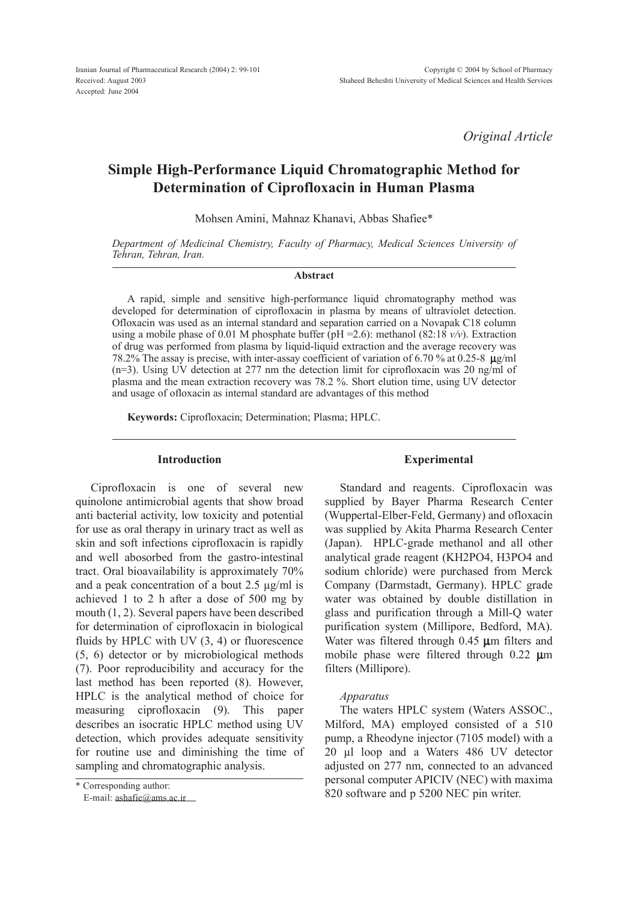*Original Article*

# Simple High-Performance Liquid Chromatographic Method for Determination of Ciprofloxacin in Human Plasma

Mohsen Amini, Mahnaz Khanavi, Abbas Shafiee\*

*Department of Medicinal Chemistry, Faculty of Pharmacy, Medical Sciences University of Tehran, Tehran, Iran.*

#### Abstract

A rapid, simple and sensitive high-performance liquid chromatography method was developed for determination of ciprofloxacin in plasma by means of ultraviolet detection. Ofloxacin was used as an internal standard and separation carried on a Novapak C18 column using a mobile phase of 0.01 M phosphate buffer (pH = 2.6): methanol (82:18  $v/v$ ). Extraction of drug was performed from plasma by liquid-liquid extraction and the average recovery was 78.2% The assay is precise, with inter-assay coefficient of variation of 6.70 % at 0.25-8 **k**g/ml (n=3). Using UV detection at 277 nm the detection limit for ciprofloxacin was 20 ng/ml of plasma and the mean extraction recovery was 78.2 %. Short elution time, using UV detector and usage of ofloxacin as internal standard are advantages of this method

Keywords: Ciprofloxacin; Determination; Plasma; HPLC.

## Introduction

Ciprofloxacin is one of several new quinolone antimicrobial agents that show broad anti bacterial activity, low toxicity and potential for use as oral therapy in urinary tract as well as skin and soft infections ciprofloxacin is rapidly and well abosorbed from the gastro-intestinal tract. Oral bioavailability is approximately 70% and a peak concentration of a bout 2.5 µg/ml is achieved 1 to 2 h after a dose of 500 mg by mouth (1, 2). Several papers have been described for determination of ciprofloxacin in biological fluids by HPLC with UV (3, 4) or fluorescence (5, 6) detector or by microbiological methods (7). Poor reproducibility and accuracy for the last method has been reported (8). However, HPLC is the analytical method of choice for measuring ciprofloxacin (9). This paper describes an isocratic HPLC method using UV detection, which provides adequate sensitivity for routine use and diminishing the time of sampling and chromatographic analysis.

E-mail: [ashafie@ams.ac.ir](mailto:ashafie@ams.ac.ir)

## Experimental

Standard and reagents. Ciprofloxacin was supplied by Bayer Pharma Research Center (Wuppertal-Elber-Feld, Germany) and ofloxacin was supplied by Akita Pharma Research Center (Japan). HPLC-grade methanol and all other analytical grade reagent (KH2PO4, H3PO4 and sodium chloride) were purchased from Merck Company (Darmstadt, Germany). HPLC grade water was obtained by double distillation in glass and purification through a Mill-Q water purification system (Millipore, Bedford, MA). Water was filtered through 0.45  $\mu$ m filters and mobile phase were filtered through 0.22  $\mu$ m filters (Millipore).

# *Apparatus*

The waters HPLC system (Waters ASSOC., Milford, MA) employed consisted of a 510 pump, a Rheodyne injector (7105 model) with a 20 µl loop and a Waters 486 UV detector adjusted on 277 nm, connected to an advanced personal computer APICIV (NEC) with maxima 820 software and p 5200 NEC pin writer.

<sup>\*</sup> Corresponding author: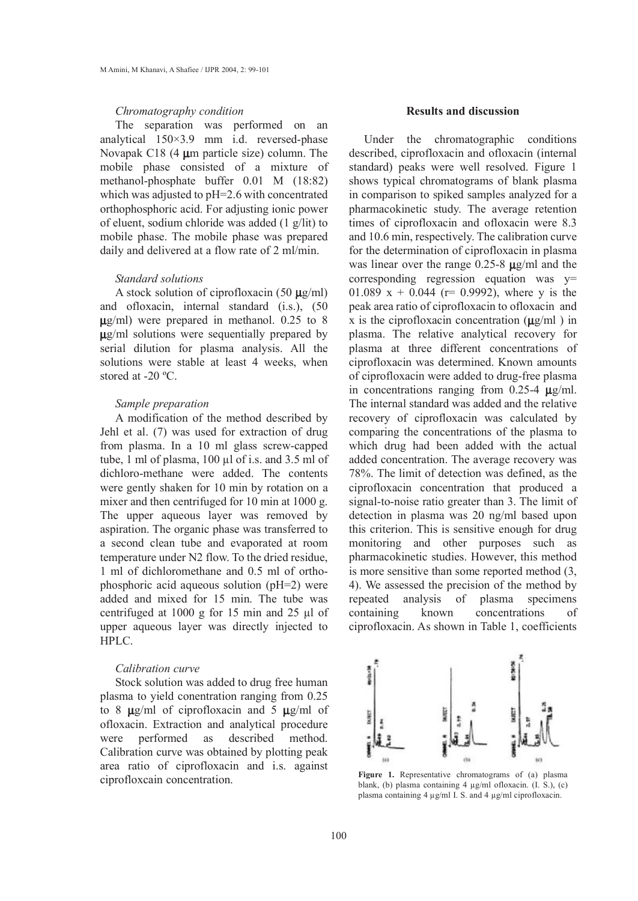# *Chromatography condition*

The separation was performed on an analytical 150×3.9 mm i.d. reversed-phase Novapak C18 (4 **k**m particle size) column. The mobile phase consisted of a mixture of methanol-phosphate buffer 0.01 M (18:82) which was adjusted to pH=2.6 with concentrated orthophosphoric acid. For adjusting ionic power of eluent, sodium chloride was added (1 g/lit) to mobile phase. The mobile phase was prepared daily and delivered at a flow rate of 2 ml/min.

#### *Standard solutions*

A stock solution of ciprofloxacin (50 **k**g/ml) and ofloxacin, internal standard (i.s.), (50 **k**g/ml) were prepared in methanol. 0.25 to 8 **k**g/ml solutions were sequentially prepared by serial dilution for plasma analysis. All the solutions were stable at least 4 weeks, when stored at -20 °C.

#### *Sample preparation*

A modification of the method described by Jehl et al. (7) was used for extraction of drug from plasma. In a 10 ml glass screw-capped tube, 1 ml of plasma, 100 µl of i.s. and 3.5 ml of dichloro-methane were added. The contents were gently shaken for 10 min by rotation on a mixer and then centrifuged for 10 min at 1000 g. The upper aqueous layer was removed by aspiration. The organic phase was transferred to a second clean tube and evaporated at room temperature under N2 flow. To the dried residue, 1 ml of dichloromethane and 0.5 ml of orthophosphoric acid aqueous solution (pH=2) were added and mixed for 15 min. The tube was centrifuged at 1000 g for 15 min and 25 µl of upper aqueous layer was directly injected to HPLC.

## *Calibration curve*

Stock solution was added to drug free human plasma to yield conentration ranging from 0.25 to 8 **k**g/ml of ciprofloxacin and 5 **k**g/ml of ofloxacin. Extraction and analytical procedure were performed as described method. Calibration curve was obtained by plotting peak area ratio of ciprofloxacin and i.s. against ciprofloxcain concentration.

### Results and discussion

Under the chromatographic conditions described, ciprofloxacin and ofloxacin (internal standard) peaks were well resolved. Figure 1 shows typical chromatograms of blank plasma in comparison to spiked samples analyzed for a pharmacokinetic study. The average retention times of ciprofloxacin and ofloxacin were 8.3 and 10.6 min, respectively. The calibration curve for the determination of ciprofloxacin in plasma was linear over the range 0.25-8 **k**g/ml and the corresponding regression equation was y= 01.089 x + 0.044 ( $r = 0.9992$ ), where y is the peak area ratio of ciprofloxacin to ofloxacin and x is the ciprofloxacin concentration (**k**g/ml ) in plasma. The relative analytical recovery for plasma at three different concentrations of ciprofloxacin was determined. Known amounts of ciprofloxacin were added to drug-free plasma in concentrations ranging from  $0.25\n-4 \text{ }\mu\text{g/ml}$ . The internal standard was added and the relative recovery of ciprofloxacin was calculated by comparing the concentrations of the plasma to which drug had been added with the actual added concentration. The average recovery was 78%. The limit of detection was defined, as the ciprofloxacin concentration that produced a signal-to-noise ratio greater than 3. The limit of detection in plasma was 20 ng/ml based upon this criterion. This is sensitive enough for drug monitoring and other purposes such as pharmacokinetic studies. However, this method is more sensitive than some reported method (3, 4). We assessed the precision of the method by repeated analysis of plasma specimens containing known concentrations of ciprofloxacin. As shown in Table 1, coefficients



Figure 1. Representative chromatograms of (a) plasma blank, (b) plasma containing 4 µg/ml ofloxacin. (I. S.), (c) plasma containing 4 µg/ml I. S. and 4 µg/ml ciprofloxacin.